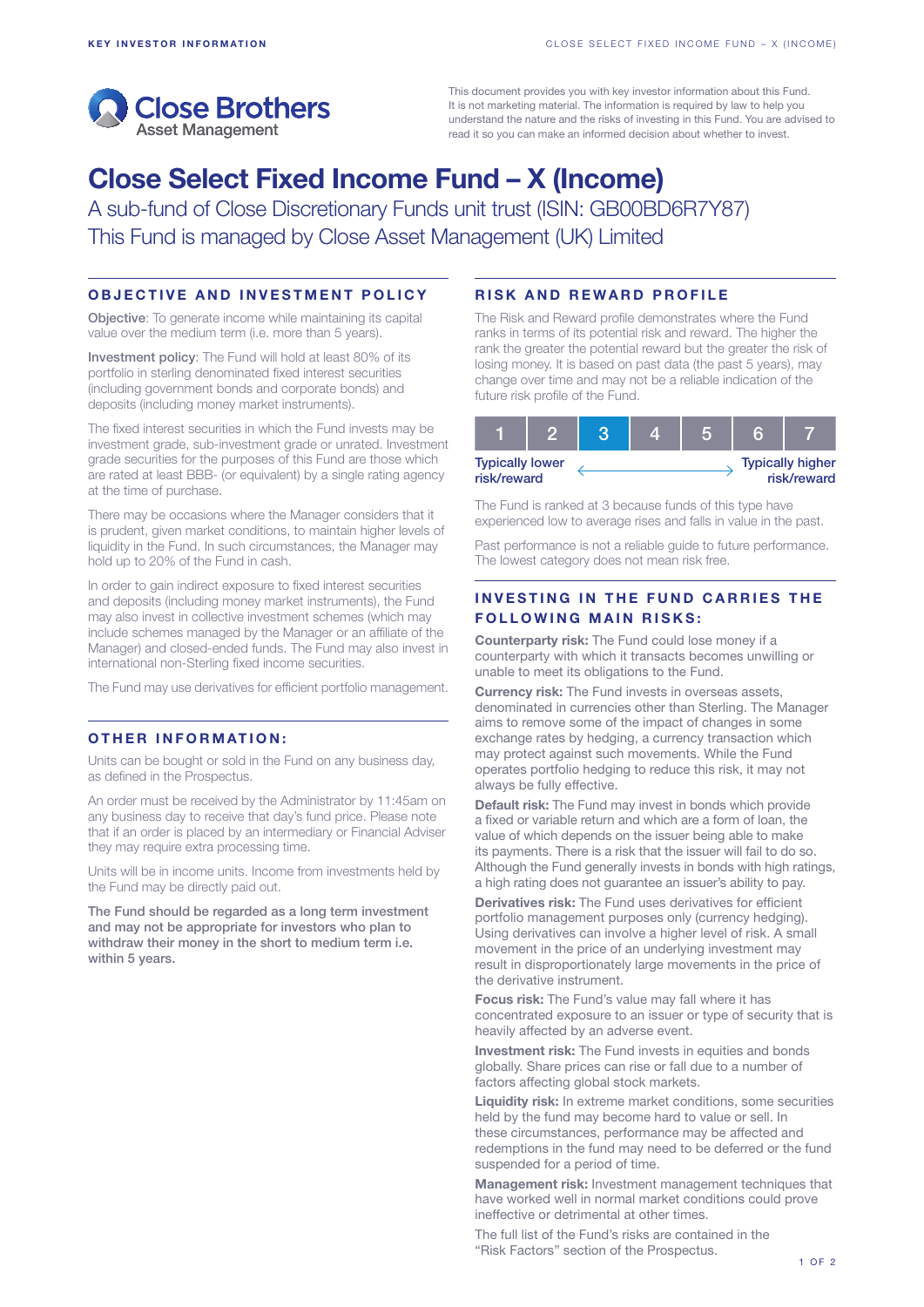

This document provides you with key investor information about this Fund. It is not marketing material. The information is required by law to help you understand the nature and the risks of investing in this Fund. You are advised to read it so you can make an informed decision about whether to invest.

# Close Select Fixed Income Fund – X (Income)

A sub-fund of Close Discretionary Funds unit trust (ISIN: GB00BD6R7Y87) This Fund is managed by Close Asset Management (UK) Limited

## OBJECTIVE AND INVESTMENT POLICY

Objective: To generate income while maintaining its capital value over the medium term (i.e. more than 5 years).

Investment policy: The Fund will hold at least 80% of its portfolio in sterling denominated fixed interest securities (including government bonds and corporate bonds) and deposits (including money market instruments).

The fixed interest securities in which the Fund invests may be investment grade, sub-investment grade or unrated. Investment grade securities for the purposes of this Fund are those which are rated at least BBB- (or equivalent) by a single rating agency at the time of purchase.

There may be occasions where the Manager considers that it is prudent, given market conditions, to maintain higher levels of liquidity in the Fund. In such circumstances, the Manager may hold up to 20% of the Fund in cash.

In order to gain indirect exposure to fixed interest securities and deposits (including money market instruments), the Fund may also invest in collective investment schemes (which may include schemes managed by the Manager or an affiliate of the Manager) and closed-ended funds. The Fund may also invest in international non-Sterling fixed income securities.

The Fund may use derivatives for efficient portfolio management.

## OTHER INFORMATION:

Units can be bought or sold in the Fund on any business day, as defined in the Prospectus.

An order must be received by the Administrator by 11:45am on any business day to receive that day's fund price. Please note that if an order is placed by an intermediary or Financial Adviser they may require extra processing time.

Units will be in income units. Income from investments held by the Fund may be directly paid out.

The Fund should be regarded as a long term investment and may not be appropriate for investors who plan to withdraw their money in the short to medium term i.e. within 5 years.

## RISK AND REWARD PROFILE

The Risk and Reward profile demonstrates where the Fund ranks in terms of its potential risk and reward. The higher the rank the greater the potential reward but the greater the risk of losing money. It is based on past data (the past 5 years), may change over time and may not be a reliable indication of the future risk profile of the Fund.

| <b>Typically lower</b><br>risk/reward |  |  |  |  | <b>Typically higher</b><br>risk/reward |
|---------------------------------------|--|--|--|--|----------------------------------------|

The Fund is ranked at 3 because funds of this type have experienced low to average rises and falls in value in the past.

Past performance is not a reliable guide to future performance. The lowest category does not mean risk free.

# INVESTING IN THE FUND CARRIES THE **FOLLOWING MAIN RISKS:**

Counterparty risk: The Fund could lose money if a counterparty with which it transacts becomes unwilling or unable to meet its obligations to the Fund.

Currency risk: The Fund invests in overseas assets, denominated in currencies other than Sterling. The Manager aims to remove some of the impact of changes in some exchange rates by hedging, a currency transaction which may protect against such movements. While the Fund operates portfolio hedging to reduce this risk, it may not always be fully effective.

Default risk: The Fund may invest in bonds which provide a fixed or variable return and which are a form of loan, the value of which depends on the issuer being able to make its payments. There is a risk that the issuer will fail to do so. Although the Fund generally invests in bonds with high ratings, a high rating does not guarantee an issuer's ability to pay.

Derivatives risk: The Fund uses derivatives for efficient portfolio management purposes only (currency hedging). Using derivatives can involve a higher level of risk. A small movement in the price of an underlying investment may result in disproportionately large movements in the price of the derivative instrument.

Focus risk: The Fund's value may fall where it has concentrated exposure to an issuer or type of security that is heavily affected by an adverse event.

**Investment risk:** The Fund invests in equities and bonds globally. Share prices can rise or fall due to a number of factors affecting global stock markets.

Liquidity risk: In extreme market conditions, some securities held by the fund may become hard to value or sell. In these circumstances, performance may be affected and redemptions in the fund may need to be deferred or the fund suspended for a period of time.

Management risk: Investment management techniques that have worked well in normal market conditions could prove ineffective or detrimental at other times.

The full list of the Fund's risks are contained in the "Risk Factors" section of the Prospectus.